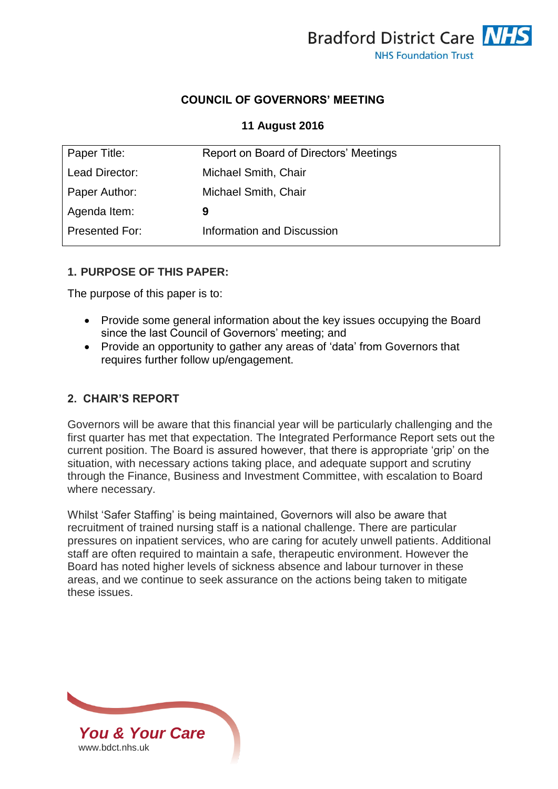

#### **COUNCIL OF GOVERNORS' MEETING**

#### **11 August 2016**

| Paper Title:          | Report on Board of Directors' Meetings |
|-----------------------|----------------------------------------|
| Lead Director:        | Michael Smith, Chair                   |
| Paper Author:         | Michael Smith, Chair                   |
| Agenda Item:          | 9                                      |
| <b>Presented For:</b> | Information and Discussion             |
|                       |                                        |

## **1. PURPOSE OF THIS PAPER:**

The purpose of this paper is to:

- Provide some general information about the key issues occupying the Board since the last Council of Governors' meeting; and
- Provide an opportunity to gather any areas of 'data' from Governors that requires further follow up/engagement.

# **2. CHAIR'S REPORT**

*You & Your Care*

[www.bdct.nhs.uk](http://www.bdct.nhs.uk/)

Governors will be aware that this financial year will be particularly challenging and the first quarter has met that expectation. The Integrated Performance Report sets out the current position. The Board is assured however, that there is appropriate 'grip' on the situation, with necessary actions taking place, and adequate support and scrutiny through the Finance, Business and Investment Committee, with escalation to Board where necessary.

Whilst 'Safer Staffing' is being maintained, Governors will also be aware that recruitment of trained nursing staff is a national challenge. There are particular pressures on inpatient services, who are caring for acutely unwell patients. Additional staff are often required to maintain a safe, therapeutic environment. However the Board has noted higher levels of sickness absence and labour turnover in these areas, and we continue to seek assurance on the actions being taken to mitigate these issues.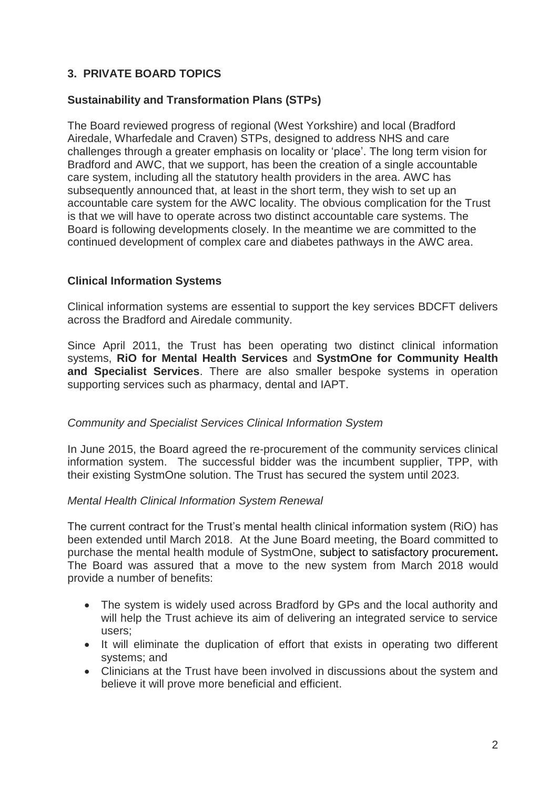# **3. PRIVATE BOARD TOPICS**

## **Sustainability and Transformation Plans (STPs)**

The Board reviewed progress of regional (West Yorkshire) and local (Bradford Airedale, Wharfedale and Craven) STPs, designed to address NHS and care challenges through a greater emphasis on locality or 'place'. The long term vision for Bradford and AWC, that we support, has been the creation of a single accountable care system, including all the statutory health providers in the area. AWC has subsequently announced that, at least in the short term, they wish to set up an accountable care system for the AWC locality. The obvious complication for the Trust is that we will have to operate across two distinct accountable care systems. The Board is following developments closely. In the meantime we are committed to the continued development of complex care and diabetes pathways in the AWC area.

## **Clinical Information Systems**

Clinical information systems are essential to support the key services BDCFT delivers across the Bradford and Airedale community.

Since April 2011, the Trust has been operating two distinct clinical information systems, **RiO for Mental Health Services** and **SystmOne for Community Health and Specialist Services**. There are also smaller bespoke systems in operation supporting services such as pharmacy, dental and IAPT.

#### *Community and Specialist Services Clinical Information System*

In June 2015, the Board agreed the re-procurement of the community services clinical information system. The successful bidder was the incumbent supplier, TPP, with their existing SystmOne solution. The Trust has secured the system until 2023.

#### *Mental Health Clinical Information System Renewal*

The current contract for the Trust's mental health clinical information system (RiO) has been extended until March 2018. At the June Board meeting, the Board committed to purchase the mental health module of SystmOne, subject to satisfactory procurement**.**  The Board was assured that a move to the new system from March 2018 would provide a number of benefits:

- The system is widely used across Bradford by GPs and the local authority and will help the Trust achieve its aim of delivering an integrated service to service users;
- It will eliminate the duplication of effort that exists in operating two different systems; and
- Clinicians at the Trust have been involved in discussions about the system and believe it will prove more beneficial and efficient.